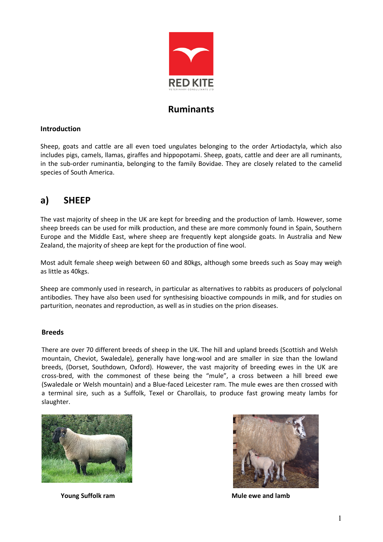

# Ruminants

# Introduction

Sheep, goats and cattle are all even toed ungulates belonging to the order Artiodactyla, which also includes pigs, camels, llamas, giraffes and hippopotami. Sheep, goats, cattle and deer are all ruminants, in the sub-order ruminantia, belonging to the family Bovidae. They are closely related to the camelid species of South America.

# a) SHEEP

The vast majority of sheep in the UK are kept for breeding and the production of lamb. However, some sheep breeds can be used for milk production, and these are more commonly found in Spain, Southern Europe and the Middle East, where sheep are frequently kept alongside goats. In Australia and New Zealand, the majority of sheep are kept for the production of fine wool.

Most adult female sheep weigh between 60 and 80kgs, although some breeds such as Soay may weigh as little as 40kgs.

Sheep are commonly used in research, in particular as alternatives to rabbits as producers of polyclonal antibodies. They have also been used for synthesising bioactive compounds in milk, and for studies on parturition, neonates and reproduction, as well as in studies on the prion diseases.

## Breeds

There are over 70 different breeds of sheep in the UK. The hill and upland breeds (Scottish and Welsh mountain, Cheviot, Swaledale), generally have long-wool and are smaller in size than the lowland breeds, (Dorset, Southdown, Oxford). However, the vast majority of breeding ewes in the UK are cross-bred, with the commonest of these being the "mule", a cross between a hill breed ewe (Swaledale or Welsh mountain) and a Blue-faced Leicester ram. The mule ewes are then crossed with a terminal sire, such as a Suffolk, Texel or Charollais, to produce fast growing meaty lambs for slaughter.





Young Suffolk ram Mule ewe and lamb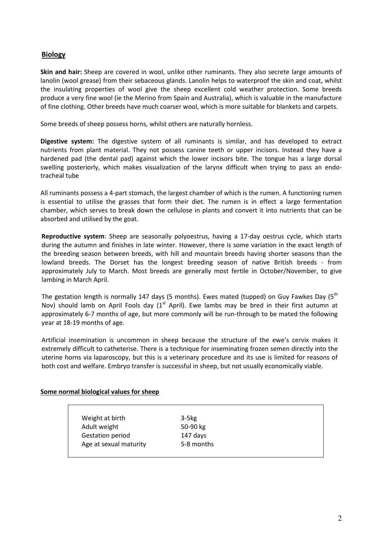# Biology

Skin and hair: Sheep are covered in wool, unlike other ruminants. They also secrete large amounts of lanolin (wool grease) from their sebaceous glands. Lanolin helps to waterproof the skin and coat, whilst the insulating properties of wool give the sheep excellent cold weather protection. Some breeds produce a very fine wool (ie the Merino from Spain and Australia), which is valuable in the manufacture of fine clothing. Other breeds have much coarser wool, which is more suitable for blankets and carpets.

Some breeds of sheep possess horns, whilst others are naturally hornless.

Digestive system: The digestive system of all ruminants is similar, and has developed to extract nutrients from plant material. They not possess canine teeth or upper incisors. Instead they have a hardened pad (the dental pad) against which the lower incisors bite. The tongue has a large dorsal swelling posteriorly, which makes visualization of the larynx difficult when trying to pass an endotracheal tube

All ruminants possess a 4-part stomach, the largest chamber of which is the rumen. A functioning rumen is essential to utilise the grasses that form their diet. The rumen is in effect a large fermentation chamber, which serves to break down the cellulose in plants and convert it into nutrients that can be absorbed and utilised by the goat.

Reproductive system: Sheep are seasonally polyoestrus, having a 17-day oestrus cycle, which starts during the autumn and finishes in late winter. However, there is some variation in the exact length of the breeding season between breeds, with hill and mountain breeds having shorter seasons than the lowland breeds. The Dorset has the longest breeding season of native British breeds - from approximately July to March. Most breeds are generally most fertile in October/November, to give lambing in March April.

The gestation length is normally 147 days (5 months). Ewes mated (tupped) on Guy Fawkes Day ( $5<sup>th</sup>$ Nov) should lamb on April Fools day  $(1<sup>st</sup>$  April). Ewe lambs may be bred in their first autumn at approximately 6-7 months of age, but more commonly will be run-through to be mated the following year at 18-19 months of age.

Artificial insemination is uncommon in sheep because the structure of the ewe's cervix makes it extremely difficult to catheterise. There is a technique for inseminating frozen semen directly into the uterine horns via laparoscopy, but this is a veterinary procedure and its use is limited for reasons of both cost and welfare. Embryo transfer is successful in sheep, but not usually economically viable.

#### Some normal biological values for sheep

| Weight at birth         | $3-5kg$    |  |
|-------------------------|------------|--|
| Adult weight            | 50-90 kg   |  |
| <b>Gestation period</b> | 147 days   |  |
| Age at sexual maturity  | 5-8 months |  |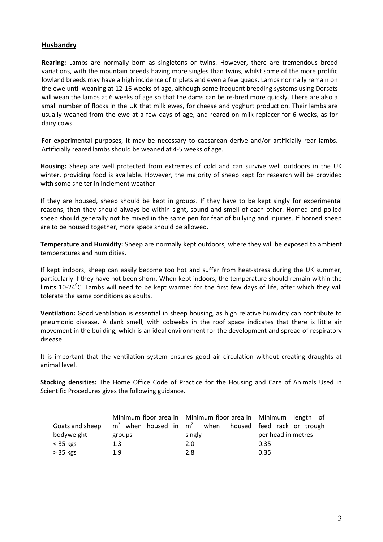## **Husbandry**

Rearing: Lambs are normally born as singletons or twins. However, there are tremendous breed variations, with the mountain breeds having more singles than twins, whilst some of the more prolific lowland breeds may have a high incidence of triplets and even a few quads. Lambs normally remain on the ewe until weaning at 12-16 weeks of age, although some frequent breeding systems using Dorsets will wean the lambs at 6 weeks of age so that the dams can be re-bred more quickly. There are also a small number of flocks in the UK that milk ewes, for cheese and yoghurt production. Their lambs are usually weaned from the ewe at a few days of age, and reared on milk replacer for 6 weeks, as for dairy cows.

For experimental purposes, it may be necessary to caesarean derive and/or artificially rear lambs. Artificially reared lambs should be weaned at 4-5 weeks of age.

Housing: Sheep are well protected from extremes of cold and can survive well outdoors in the UK winter, providing food is available. However, the majority of sheep kept for research will be provided with some shelter in inclement weather.

If they are housed, sheep should be kept in groups. If they have to be kept singly for experimental reasons, then they should always be within sight, sound and smell of each other. Horned and polled sheep should generally not be mixed in the same pen for fear of bullying and injuries. If horned sheep are to be housed together, more space should be allowed.

Temperature and Humidity: Sheep are normally kept outdoors, where they will be exposed to ambient temperatures and humidities.

If kept indoors, sheep can easily become too hot and suffer from heat-stress during the UK summer, particularly if they have not been shorn. When kept indoors, the temperature should remain within the limits 10-24<sup>0</sup>C. Lambs will need to be kept warmer for the first few days of life, after which they will tolerate the same conditions as adults.

Ventilation: Good ventilation is essential in sheep housing, as high relative humidity can contribute to pneumonic disease. A dank smell, with cobwebs in the roof space indicates that there is little air movement in the building, which is an ideal environment for the development and spread of respiratory disease.

It is important that the ventilation system ensures good air circulation without creating draughts at animal level.

Stocking densities: The Home Office Code of Practice for the Housing and Care of Animals Used in Scientific Procedures gives the following guidance.

|                  |                               | Minimum floor area in   Minimum floor area in   Minimum length of |                              |  |  |
|------------------|-------------------------------|-------------------------------------------------------------------|------------------------------|--|--|
| Goats and sheep  | $m2$ when housed in $m2$ when |                                                                   | housed   feed rack or trough |  |  |
| bodyweight       | groups                        | singly                                                            | per head in metres           |  |  |
| $\vert$ < 35 kgs | 1.3                           | 2.0                                                               | 0.35                         |  |  |
| $> 35$ kgs       | 1.9                           | 2.8                                                               | 0.35                         |  |  |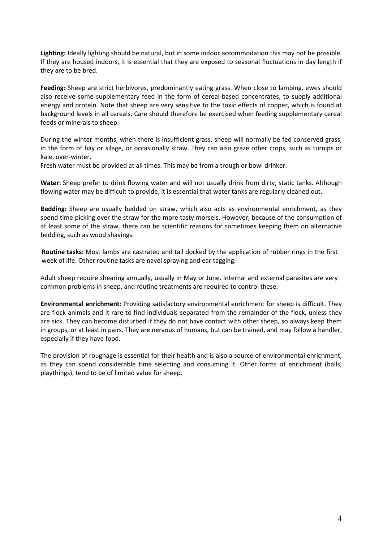Lighting: Ideally lighting should be natural, but in some indoor accommodation this may not be possible. If they are housed indoors, it is essential that they are exposed to seasonal fluctuations in day length if they are to be bred.

Feeding: Sheep are strict herbivores, predominantly eating grass. When close to lambing, ewes should also receive some supplementary feed in the form of cereal-based concentrates, to supply additional energy and protein. Note that sheep are very sensitive to the toxic effects of copper, which is found at background levels in all cereals. Care should therefore be exercised when feeding supplementary cereal feeds or minerals to sheep.

During the winter months, when there is insufficient grass, sheep will normally be fed conserved grass, in the form of hay or silage, or occasionally straw. They can also graze other crops, such as turnips or kale, over-winter.

Fresh water must be provided at all times. This may be from a trough or bowl drinker.

Water: Sheep prefer to drink flowing water and will not usually drink from dirty, static tanks. Although flowing water may be difficult to provide, it is essential that water tanks are regularly cleaned out.

Bedding: Sheep are usually bedded on straw, which also acts as environmental enrichment, as they spend time picking over the straw for the more tasty morsels. However, because of the consumption of at least some of the straw, there can be scientific reasons for sometimes keeping them on alternative bedding, such as wood shavings.

Routine tasks: Most lambs are castrated and tail docked by the application of rubber rings in the first week of life. Other routine tasks are navel spraying and ear tagging.

Adult sheep require shearing annually, usually in May or June. Internal and external parasites are very common problems in sheep, and routine treatments are required to control these.

Environmental enrichment: Providing satisfactory environmental enrichment for sheep is difficult. They are flock animals and it rare to find individuals separated from the remainder of the flock, unless they are sick. They can become disturbed if they do not have contact with other sheep, so always keep them in groups, or at least in pairs. They are nervous of humans, but can be trained, and may follow a handler, especially if they have food.

The provision of roughage is essential for their health and is also a source of environmental enrichment, as they can spend considerable time selecting and consuming it. Other forms of enrichment (balls, playthings), tend to be of limited value for sheep.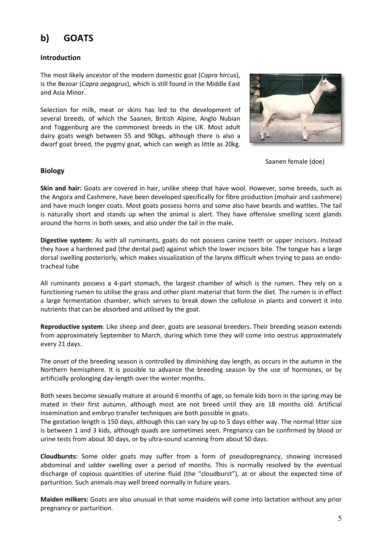# b) GOATS

# Introduction

The most likely ancestor of the modern domestic goat (Capra hircus), is the Bezoar (Capra aegagrus), which is still found in the Middle East and Asia Minor.

Selection for milk, meat or skins has led to the development of several breeds, of which the Saanen, British Alpine, Anglo Nubian and Toggenburg are the commonest breeds in the UK. Most adult dairy goats weigh between 55 and 90kgs, although there is also a dwarf goat breed, the pygmy goat, which can weigh as little as 20kg.



Saanen female (doe)

## Biology

Skin and hair: Goats are covered in hair, unlike sheep that have wool. However, some breeds, such as the Angora and Cashmere, have been developed specifically for fibre production (mohair and cashmere) and have much longer coats. Most goats possess horns and some also have beards and wattles. The tail is naturally short and stands up when the animal is alert. They have offensive smelling scent glands around the horns in both sexes, and also under the tail in the male.

Digestive system: As with all ruminants, goats do not possess canine teeth or upper incisors. Instead they have a hardened pad (the dental pad) against which the lower incisors bite. The tongue has a large dorsal swelling posteriorly, which makes visualization of the larynx difficult when trying to pass an endotracheal tube

All ruminants possess a 4-part stomach, the largest chamber of which is the rumen. They rely on a functioning rumen to utilise the grass and other plant material that form the diet. The rumen is in effect a large fermentation chamber, which serves to break down the cellulose in plants and convert it into nutrients that can be absorbed and utilised by the goat.

Reproductive system: Like sheep and deer, goats are seasonal breeders. Their breeding season extends from approximately September to March, during which time they will come into oestrus approximately every 21 days.

The onset of the breeding season is controlled by diminishing day length, as occurs in the autumn in the Northern hemisphere. It is possible to advance the breeding season by the use of hormones, or by artificially prolonging day-length over the winter months.

Both sexes become sexually mature at around 6 months of age, so female kids born in the spring may be mated in their first autumn, although most are not breed until they are 18 months old. Artificial insemination and embryo transfer techniques are both possible in goats.

The gestation length is 150 days, although this can vary by up to 5 days either way. The normal litter size is between 1 and 3 kids, although quads are sometimes seen. Pregnancy can be confirmed by blood or urine tests from about 30 days, or by ultra-sound scanning from about 50 days.

Cloudbursts: Some older goats may suffer from a form of pseudopregnancy, showing increased abdominal and udder swelling over a period of months. This is normally resolved by the eventual discharge of copious quantities of uterine fluid (the "cloudburst"), at or about the expected time of parturition. Such animals may well breed normally in future years.

Maiden milkers: Goats are also unusual in that some maidens will come into lactation without any prior pregnancy or parturition.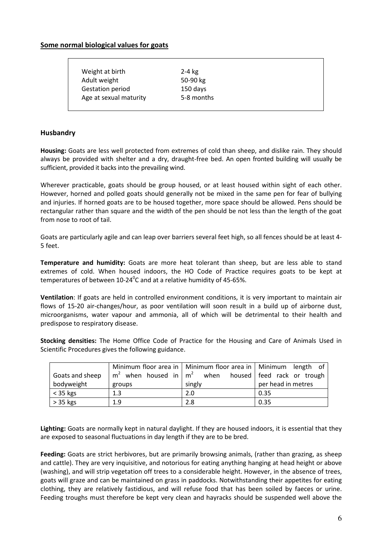## Some normal biological values for goats

| Weight at birth        | $2-4$ kg   |
|------------------------|------------|
| Adult weight           | 50-90 $kg$ |
| Gestation period       | 150 days   |
| Age at sexual maturity | 5-8 months |
|                        |            |

#### Husbandry

Housing: Goats are less well protected from extremes of cold than sheep, and dislike rain. They should always be provided with shelter and a dry, draught-free bed. An open fronted building will usually be sufficient, provided it backs into the prevailing wind.

Wherever practicable, goats should be group housed, or at least housed within sight of each other. However, horned and polled goats should generally not be mixed in the same pen for fear of bullying and injuries. If horned goats are to be housed together, more space should be allowed. Pens should be rectangular rather than square and the width of the pen should be not less than the length of the goat from nose to root of tail.

Goats are particularly agile and can leap over barriers several feet high, so all fences should be at least 4- 5 feet.

Temperature and humidity: Goats are more heat tolerant than sheep, but are less able to stand extremes of cold. When housed indoors, the HO Code of Practice requires goats to be kept at temperatures of between 10-24 $\rm ^{0}$ C and at a relative humidity of 45-65%.

Ventilation: If goats are held in controlled environment conditions, it is very important to maintain air flows of 15-20 air-changes/hour, as poor ventilation will soon result in a build up of airborne dust, microorganisms, water vapour and ammonia, all of which will be detrimental to their health and predispose to respiratory disease.

Stocking densities: The Home Office Code of Practice for the Housing and Care of Animals Used in Scientific Procedures gives the following guidance.

|                 |        | Minimum floor area in   Minimum floor area in   Minimum length of |                    |  |  |
|-----------------|--------|-------------------------------------------------------------------|--------------------|--|--|
| Goats and sheep |        | $m2$ when housed in $m2$ when housed feed rack or trough          |                    |  |  |
| bodyweight      | groups | singly                                                            | per head in metres |  |  |
| $<$ 35 kgs      | 1.3    | 2.0                                                               | 0.35               |  |  |
| $> 35$ kgs      | 1.9    | 2.8                                                               | 0.35               |  |  |

Lighting: Goats are normally kept in natural daylight. If they are housed indoors, it is essential that they are exposed to seasonal fluctuations in day length if they are to be bred.

Feeding: Goats are strict herbivores, but are primarily browsing animals, (rather than grazing, as sheep and cattle). They are very inquisitive, and notorious for eating anything hanging at head height or above (washing), and will strip vegetation off trees to a considerable height. However, in the absence of trees, goats will graze and can be maintained on grass in paddocks. Notwithstanding their appetites for eating clothing, they are relatively fastidious, and will refuse food that has been soiled by faeces or urine. Feeding troughs must therefore be kept very clean and hayracks should be suspended well above the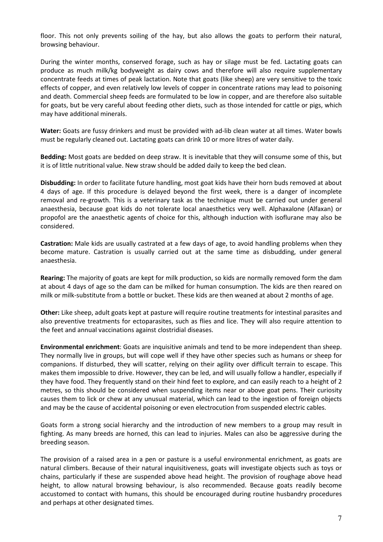floor. This not only prevents soiling of the hay, but also allows the goats to perform their natural, browsing behaviour.

During the winter months, conserved forage, such as hay or silage must be fed. Lactating goats can produce as much milk/kg bodyweight as dairy cows and therefore will also require supplementary concentrate feeds at times of peak lactation. Note that goats (like sheep) are very sensitive to the toxic effects of copper, and even relatively low levels of copper in concentrate rations may lead to poisoning and death. Commercial sheep feeds are formulated to be low in copper, and are therefore also suitable for goats, but be very careful about feeding other diets, such as those intended for cattle or pigs, which may have additional minerals.

Water: Goats are fussy drinkers and must be provided with ad-lib clean water at all times. Water bowls must be regularly cleaned out. Lactating goats can drink 10 or more litres of water daily.

Bedding: Most goats are bedded on deep straw. It is inevitable that they will consume some of this, but it is of little nutritional value. New straw should be added daily to keep the bed clean.

Disbudding: In order to facilitate future handling, most goat kids have their horn buds removed at about 4 days of age. If this procedure is delayed beyond the first week, there is a danger of incomplete removal and re-growth. This is a veterinary task as the technique must be carried out under general anaesthesia, because goat kids do not tolerate local anaesthetics very well. Alphaxalone (Alfaxan) or propofol are the anaesthetic agents of choice for this, although induction with isoflurane may also be considered.

Castration: Male kids are usually castrated at a few days of age, to avoid handling problems when they become mature. Castration is usually carried out at the same time as disbudding, under general anaesthesia.

Rearing: The majority of goats are kept for milk production, so kids are normally removed form the dam at about 4 days of age so the dam can be milked for human consumption. The kids are then reared on milk or milk-substitute from a bottle or bucket. These kids are then weaned at about 2 months of age.

Other: Like sheep, adult goats kept at pasture will require routine treatments for intestinal parasites and also preventive treatments for ectoparasites, such as flies and lice. They will also require attention to the feet and annual vaccinations against clostridial diseases.

Environmental enrichment: Goats are inquisitive animals and tend to be more independent than sheep. They normally live in groups, but will cope well if they have other species such as humans or sheep for companions. If disturbed, they will scatter, relying on their agility over difficult terrain to escape. This makes them impossible to drive. However, they can be led, and will usually follow a handler, especially if they have food. They frequently stand on their hind feet to explore, and can easily reach to a height of 2 metres, so this should be considered when suspending items near or above goat pens. Their curiosity causes them to lick or chew at any unusual material, which can lead to the ingestion of foreign objects and may be the cause of accidental poisoning or even electrocution from suspended electric cables.

Goats form a strong social hierarchy and the introduction of new members to a group may result in fighting. As many breeds are horned, this can lead to injuries. Males can also be aggressive during the breeding season.

The provision of a raised area in a pen or pasture is a useful environmental enrichment, as goats are natural climbers. Because of their natural inquisitiveness, goats will investigate objects such as toys or chains, particularly if these are suspended above head height. The provision of roughage above head height, to allow natural browsing behaviour, is also recommended. Because goats readily become accustomed to contact with humans, this should be encouraged during routine husbandry procedures and perhaps at other designated times.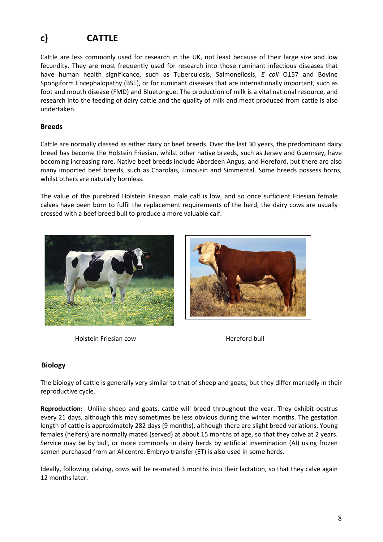# c) CATTLE

Cattle are less commonly used for research in the UK, not least because of their large size and low fecundity. They are most frequently used for research into those ruminant infectious diseases that have human health significance, such as Tuberculosis, Salmonellosis, E coli O157 and Bovine Spongiform Encephalopathy (BSE), or for ruminant diseases that are internationally important, such as foot and mouth disease (FMD) and Bluetongue. The production of milk is a vital national resource, and research into the feeding of dairy cattle and the quality of milk and meat produced from cattle is also undertaken.

# Breeds

Cattle are normally classed as either dairy or beef breeds. Over the last 30 years, the predominant dairy breed has become the Holstein Friesian, whilst other native breeds, such as Jersey and Guernsey, have becoming increasing rare. Native beef breeds include Aberdeen Angus, and Hereford, but there are also many imported beef breeds, such as Charolais, Limousin and Simmental. Some breeds possess horns, whilst others are naturally hornless.

The value of the purebred Holstein Friesian male calf is low, and so once sufficient Friesian female calves have been born to fulfil the replacement requirements of the herd, the dairy cows are usually crossed with a beef breed bull to produce a more valuable calf.



Holstein Friesian cow **Hereford bull** 



# Biology

The biology of cattle is generally very similar to that of sheep and goats, but they differ markedly in their reproductive cycle.

Reproduction: Unlike sheep and goats, cattle will breed throughout the year. They exhibit oestrus every 21 days, although this may sometimes be less obvious during the winter months. The gestation length of cattle is approximately 282 days (9 months), although there are slight breed variations. Young females (heifers) are normally mated (served) at about 15 months of age, so that they calve at 2 years. Service may be by bull, or more commonly in dairy herds by artificial insemination (AI) using frozen semen purchased from an AI centre. Embryo transfer (ET) is also used in some herds.

Ideally, following calving, cows will be re-mated 3 months into their lactation, so that they calve again 12 months later.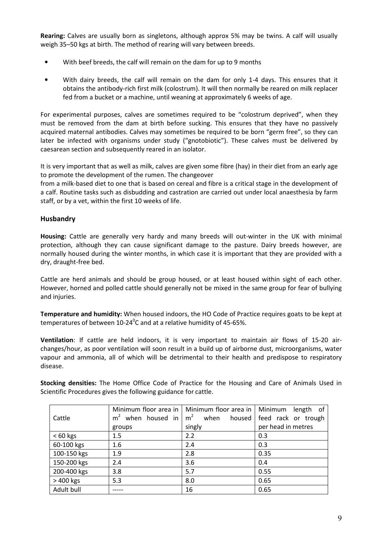Rearing: Calves are usually born as singletons, although approx 5% may be twins. A calf will usually weigh 35–50 kgs at birth. The method of rearing will vary between breeds.

- With beef breeds, the calf will remain on the dam for up to 9 months
- With dairy breeds, the calf will remain on the dam for only 1-4 days. This ensures that it obtains the antibody-rich first milk (colostrum). It will then normally be reared on milk replacer fed from a bucket or a machine, until weaning at approximately 6 weeks of age.

For experimental purposes, calves are sometimes required to be "colostrum deprived", when they must be removed from the dam at birth before sucking. This ensures that they have no passively acquired maternal antibodies. Calves may sometimes be required to be born "germ free", so they can later be infected with organisms under study ("gnotobiotic"). These calves must be delivered by caesarean section and subsequently reared in an isolator.

It is very important that as well as milk, calves are given some fibre (hay) in their diet from an early age to promote the development of the rumen. The changeover

from a milk-based diet to one that is based on cereal and fibre is a critical stage in the development of a calf. Routine tasks such as disbudding and castration are carried out under local anaesthesia by farm staff, or by a vet, within the first 10 weeks of life.

# Husbandry

Housing: Cattle are generally very hardy and many breeds will out-winter in the UK with minimal protection, although they can cause significant damage to the pasture. Dairy breeds however, are normally housed during the winter months, in which case it is important that they are provided with a dry, draught-free bed.

Cattle are herd animals and should be group housed, or at least housed within sight of each other. However, horned and polled cattle should generally not be mixed in the same group for fear of bullying and injuries.

Temperature and humidity: When housed indoors, the HO Code of Practice requires goats to be kept at temperatures of between 10-24 $\rm ^{0}$ C and at a relative humidity of 45-65%.

Ventilation: If cattle are held indoors, it is very important to maintain air flows of 15-20 airchanges/hour, as poor ventilation will soon result in a build up of airborne dust, microorganisms, water vapour and ammonia, all of which will be detrimental to their health and predispose to respiratory disease.

| Stocking densities: The Home Office Code of Practice for the Housing and Care of Animals Used in |  |  |  |  |  |  |  |
|--------------------------------------------------------------------------------------------------|--|--|--|--|--|--|--|
| Scientific Procedures gives the following guidance for cattle.                                   |  |  |  |  |  |  |  |

|             |         | Minimum floor area in   Minimum floor area in   Minimum length of |                    |
|-------------|---------|-------------------------------------------------------------------|--------------------|
| Cattle      |         | $m2$ when housed in $m2$ when housed feed rack or trough          |                    |
|             | groups  | singly                                                            | per head in metres |
| $< 60$ kgs  | $1.5\,$ | 2.2                                                               | 0.3                |
| 60-100 kgs  | 1.6     | 2.4                                                               | 0.3                |
| 100-150 kgs | 1.9     | 2.8                                                               | 0.35               |
| 150-200 kgs | 2.4     | 3.6                                                               | 0.4                |
| 200-400 kgs | 3.8     | 5.7                                                               | 0.55               |
| > 400 kgs   | 5.3     | 8.0                                                               | 0.65               |
| Adult bull  |         | 16                                                                | 0.65               |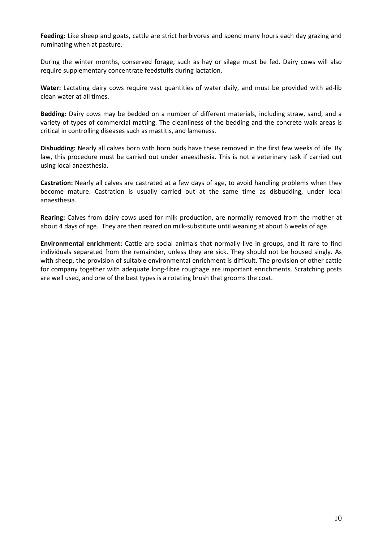Feeding: Like sheep and goats, cattle are strict herbivores and spend many hours each day grazing and ruminating when at pasture.

During the winter months, conserved forage, such as hay or silage must be fed. Dairy cows will also require supplementary concentrate feedstuffs during lactation.

Water: Lactating dairy cows require vast quantities of water daily, and must be provided with ad-lib clean water at all times.

Bedding: Dairy cows may be bedded on a number of different materials, including straw, sand, and a variety of types of commercial matting. The cleanliness of the bedding and the concrete walk areas is critical in controlling diseases such as mastitis, and lameness.

Disbudding: Nearly all calves born with horn buds have these removed in the first few weeks of life. By law, this procedure must be carried out under anaesthesia. This is not a veterinary task if carried out using local anaesthesia.

Castration: Nearly all calves are castrated at a few days of age, to avoid handling problems when they become mature. Castration is usually carried out at the same time as disbudding, under local anaesthesia.

Rearing: Calves from dairy cows used for milk production, are normally removed from the mother at about 4 days of age. They are then reared on milk-substitute until weaning at about 6 weeks of age.

Environmental enrichment: Cattle are social animals that normally live in groups, and it rare to find individuals separated from the remainder, unless they are sick. They should not be housed singly. As with sheep, the provision of suitable environmental enrichment is difficult. The provision of other cattle for company together with adequate long-fibre roughage are important enrichments. Scratching posts are well used, and one of the best types is a rotating brush that grooms the coat.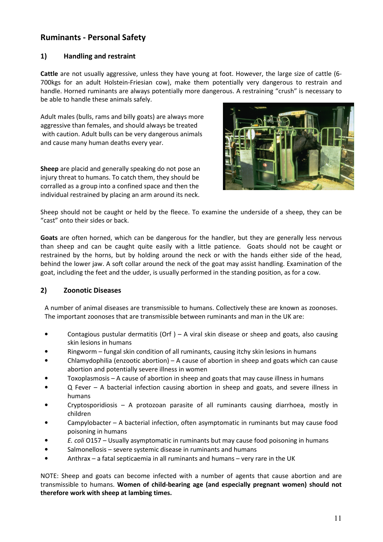# Ruminants - Personal Safety

# 1) Handling and restraint

Cattle are not usually aggressive, unless they have young at foot. However, the large size of cattle (6- 700kgs for an adult Holstein-Friesian cow), make them potentially very dangerous to restrain and handle. Horned ruminants are always potentially more dangerous. A restraining "crush" is necessary to be able to handle these animals safely.

Adult males (bulls, rams and billy goats) are always more aggressive than females, and should always be treated with caution. Adult bulls can be very dangerous animals and cause many human deaths every year.

Sheep are placid and generally speaking do not pose an injury threat to humans. To catch them, they should be corralled as a group into a confined space and then the individual restrained by placing an arm around its neck.



Sheep should not be caught or held by the fleece. To examine the underside of a sheep, they can be "cast" onto their sides or back.

Goats are often horned, which can be dangerous for the handler, but they are generally less nervous than sheep and can be caught quite easily with a little patience. Goats should not be caught or restrained by the horns, but by holding around the neck or with the hands either side of the head, behind the lower jaw. A soft collar around the neck of the goat may assist handling. Examination of the goat, including the feet and the udder, is usually performed in the standing position, as for a cow.

# 2) Zoonotic Diseases

A number of animal diseases are transmissible to humans. Collectively these are known as zoonoses. The important zoonoses that are transmissible between ruminants and man in the UK are:

- Contagious pustular dermatitis (Orf ) A viral skin disease or sheep and goats, also causing skin lesions in humans
- Ringworm fungal skin condition of all ruminants, causing itchy skin lesions in humans
- Chlamydophilia (enzootic abortion) A cause of abortion in sheep and goats which can cause abortion and potentially severe illness in women
- Toxoplasmosis A cause of abortion in sheep and goats that may cause illness in humans
- Q Fever A bacterial infection causing abortion in sheep and goats, and severe illness in humans
- Cryptosporidiosis A protozoan parasite of all ruminants causing diarrhoea, mostly in children
- Campylobacter A bacterial infection, often asymptomatic in ruminants but may cause food poisoning in humans
- E. coli O157 Usually asymptomatic in ruminants but may cause food poisoning in humans
- Salmonellosis severe systemic disease in ruminants and humans
- Anthrax a fatal septicaemia in all ruminants and humans very rare in the UK

NOTE: Sheep and goats can become infected with a number of agents that cause abortion and are transmissible to humans. Women of child-bearing age (and especially pregnant women) should not therefore work with sheep at lambing times.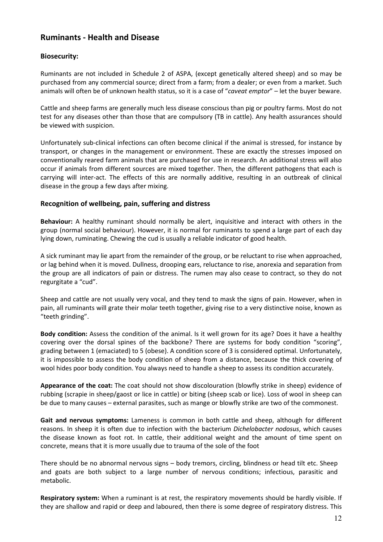# Ruminants - Health and Disease

# Biosecurity:

Ruminants are not included in Schedule 2 of ASPA, (except genetically altered sheep) and so may be purchased from any commercial source; direct from a farm; from a dealer; or even from a market. Such animals will often be of unknown health status, so it is a case of "caveat emptor" - let the buyer beware.

Cattle and sheep farms are generally much less disease conscious than pig or poultry farms. Most do not test for any diseases other than those that are compulsory (TB in cattle). Any health assurances should be viewed with suspicion.

Unfortunately sub-clinical infections can often become clinical if the animal is stressed, for instance by transport, or changes in the management or environment. These are exactly the stresses imposed on conventionally reared farm animals that are purchased for use in research. An additional stress will also occur if animals from different sources are mixed together. Then, the different pathogens that each is carrying will inter-act. The effects of this are normally additive, resulting in an outbreak of clinical disease in the group a few days after mixing.

## Recognition of wellbeing, pain, suffering and distress

Behaviour: A healthy ruminant should normally be alert, inquisitive and interact with others in the group (normal social behaviour). However, it is normal for ruminants to spend a large part of each day lying down, ruminating. Chewing the cud is usually a reliable indicator of good health.

A sick ruminant may lie apart from the remainder of the group, or be reluctant to rise when approached, or lag behind when it is moved. Dullness, drooping ears, reluctance to rise, anorexia and separation from the group are all indicators of pain or distress. The rumen may also cease to contract, so they do not regurgitate a "cud".

Sheep and cattle are not usually very vocal, and they tend to mask the signs of pain. However, when in pain, all ruminants will grate their molar teeth together, giving rise to a very distinctive noise, known as "teeth grinding".

Body condition: Assess the condition of the animal. Is it well grown for its age? Does it have a healthy covering over the dorsal spines of the backbone? There are systems for body condition "scoring", grading between 1 (emaciated) to 5 (obese). A condition score of 3 is considered optimal. Unfortunately, it is impossible to assess the body condition of sheep from a distance, because the thick covering of wool hides poor body condition. You always need to handle a sheep to assess its condition accurately.

Appearance of the coat: The coat should not show discolouration (blowfly strike in sheep) evidence of rubbing (scrapie in sheep/gaost or lice in cattle) or biting (sheep scab or lice). Loss of wool in sheep can be due to many causes – external parasites, such as mange or blowfly strike are two of the commonest.

Gait and nervous symptoms: Lameness is common in both cattle and sheep, although for different reasons. In sheep it is often due to infection with the bacterium Dichelobacter nodosus, which causes the disease known as foot rot. In cattle, their additional weight and the amount of time spent on concrete, means that it is more usually due to trauma of the sole of the foot

There should be no abnormal nervous signs – body tremors, circling, blindness or head tilt etc. Sheep and goats are both subject to a large number of nervous conditions; infectious, parasitic and metabolic.

Respiratory system: When a ruminant is at rest, the respiratory movements should be hardly visible. If they are shallow and rapid or deep and laboured, then there is some degree of respiratory distress. This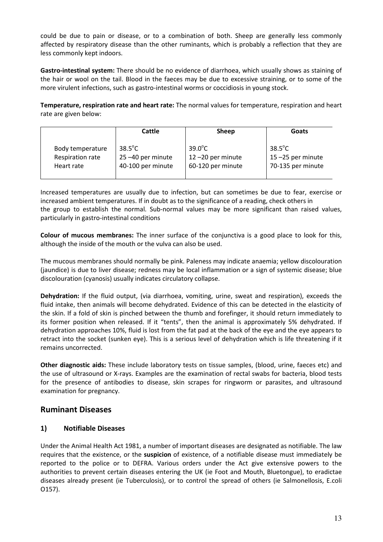could be due to pain or disease, or to a combination of both. Sheep are generally less commonly affected by respiratory disease than the other ruminants, which is probably a reflection that they are less commonly kept indoors.

Gastro-intestinal system: There should be no evidence of diarrhoea, which usually shows as staining of the hair or wool on the tail. Blood in the faeces may be due to excessive straining, or to some of the more virulent infections, such as gastro-intestinal worms or coccidiosis in young stock.

Temperature, respiration rate and heart rate: The normal values for temperature, respiration and heart rate are given below:

|                  | Cattle            | <b>Sheep</b>         | Goats             |
|------------------|-------------------|----------------------|-------------------|
| Body temperature | $38.5^{\circ}$ C  | $39.0^{\circ}$ C     | $38.5^{\circ}$ C  |
| Respiration rate | 25-40 per minute  | $12 - 20$ per minute | 15-25 per minute  |
| Heart rate       | 40-100 per minute | 60-120 per minute    | 70-135 per minute |

Increased temperatures are usually due to infection, but can sometimes be due to fear, exercise or increased ambient temperatures. If in doubt as to the significance of a reading, check others in the group to establish the normal. Sub-normal values may be more significant than raised values, particularly in gastro-intestinal conditions

Colour of mucous membranes: The inner surface of the conjunctiva is a good place to look for this, although the inside of the mouth or the vulva can also be used.

The mucous membranes should normally be pink. Paleness may indicate anaemia; yellow discolouration (jaundice) is due to liver disease; redness may be local inflammation or a sign of systemic disease; blue discolouration (cyanosis) usually indicates circulatory collapse.

Dehydration: If the fluid output, (via diarrhoea, vomiting, urine, sweat and respiration), exceeds the fluid intake, then animals will become dehydrated. Evidence of this can be detected in the elasticity of the skin. If a fold of skin is pinched between the thumb and forefinger, it should return immediately to its former position when released. If it "tents", then the animal is approximately 5% dehydrated. If dehydration approaches 10%, fluid is lost from the fat pad at the back of the eye and the eye appears to retract into the socket (sunken eye). This is a serious level of dehydration which is life threatening if it remains uncorrected.

Other diagnostic aids: These include laboratory tests on tissue samples, (blood, urine, faeces etc) and the use of ultrasound or X-rays. Examples are the examination of rectal swabs for bacteria, blood tests for the presence of antibodies to disease, skin scrapes for ringworm or parasites, and ultrasound examination for pregnancy.

# Ruminant Diseases

# 1) Notifiable Diseases

Under the Animal Health Act 1981, a number of important diseases are designated as notifiable. The law requires that the existence, or the **suspicion** of existence, of a notifiable disease must immediately be reported to the police or to DEFRA. Various orders under the Act give extensive powers to the authorities to prevent certain diseases entering the UK (ie Foot and Mouth, Bluetongue), to eradictae diseases already present (ie Tuberculosis), or to control the spread of others (ie Salmonellosis, E.coli O157).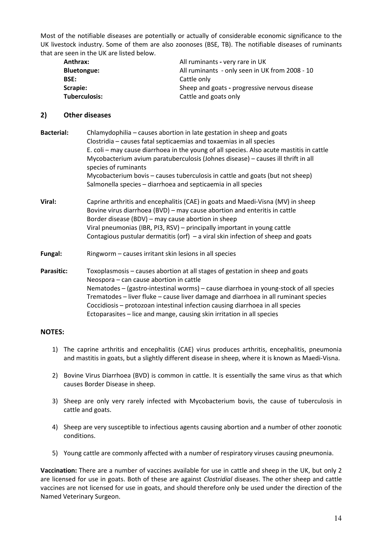Most of the notifiable diseases are potentially or actually of considerable economic significance to the UK livestock industry. Some of them are also zoonoses (BSE, TB). The notifiable diseases of ruminants that are seen in the UK are listed below.

| Anthrax:             | All ruminants - very rare in UK                |
|----------------------|------------------------------------------------|
| <b>Bluetongue:</b>   | All ruminants - only seen in UK from 2008 - 10 |
| <b>BSE:</b>          | Cattle only                                    |
| Scrapie:             | Sheep and goats - progressive nervous disease  |
| <b>Tuberculosis:</b> | Cattle and goats only                          |

#### 2) Other diseases

| <b>Bacterial:</b> | Chlamydophilia - causes abortion in late gestation in sheep and goats<br>Clostridia - causes fatal septicaemias and toxaemias in all species<br>E. coli – may cause diarrhoea in the young of all species. Also acute mastitis in cattle<br>Mycobacterium avium paratuberculosis (Johnes disease) - causes ill thrift in all<br>species of ruminants<br>Mycobacterium bovis - causes tuberculosis in cattle and goats (but not sheep)<br>Salmonella species - diarrhoea and septicaemia in all species |
|-------------------|--------------------------------------------------------------------------------------------------------------------------------------------------------------------------------------------------------------------------------------------------------------------------------------------------------------------------------------------------------------------------------------------------------------------------------------------------------------------------------------------------------|
| Viral:            | Caprine arthritis and encephalitis (CAE) in goats and Maedi-Visna (MV) in sheep<br>Bovine virus diarrhoea (BVD) – may cause abortion and enteritis in cattle<br>Border disease (BDV) - may cause abortion in sheep<br>Viral pneumonias (IBR, PI3, RSV) - principally important in young cattle<br>Contagious pustular dermatitis (orf) $-$ a viral skin infection of sheep and goats                                                                                                                   |
| Fungal:           | Ringworm – causes irritant skin lesions in all species                                                                                                                                                                                                                                                                                                                                                                                                                                                 |
| Parasitic:        | Toxoplasmosis – causes abortion at all stages of gestation in sheep and goats<br>Neospora - can cause abortion in cattle<br>Nematodes - (gastro-intestinal worms) - cause diarrhoea in young-stock of all species<br>Trematodes - liver fluke - cause liver damage and diarrhoea in all ruminant species<br>Coccidiosis - protozoan intestinal infection causing diarrhoea in all species<br>Ectoparasites - lice and mange, causing skin irritation in all species                                    |

#### NOTES:

- 1) The caprine arthritis and encephalitis (CAE) virus produces arthritis, encephalitis, pneumonia and mastitis in goats, but a slightly different disease in sheep, where it is known as Maedi-Visna.
- 2) Bovine Virus Diarrhoea (BVD) is common in cattle. It is essentially the same virus as that which causes Border Disease in sheep.
- 3) Sheep are only very rarely infected with Mycobacterium bovis, the cause of tuberculosis in cattle and goats.
- 4) Sheep are very susceptible to infectious agents causing abortion and a number of other zoonotic conditions.
- 5) Young cattle are commonly affected with a number of respiratory viruses causing pneumonia.

Vaccination: There are a number of vaccines available for use in cattle and sheep in the UK, but only 2 are licensed for use in goats. Both of these are against Clostridial diseases. The other sheep and cattle vaccines are not licensed for use in goats, and should therefore only be used under the direction of the Named Veterinary Surgeon.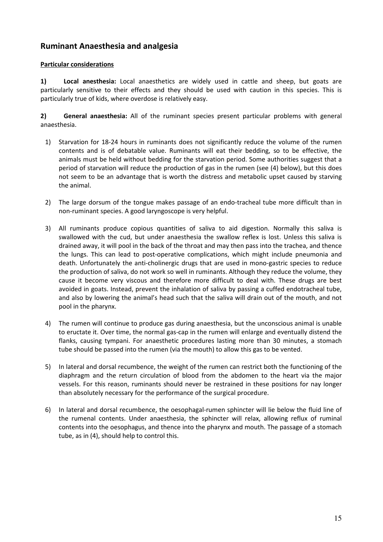# Ruminant Anaesthesia and analgesia

# Particular considerations

1) Local anesthesia: Local anaesthetics are widely used in cattle and sheep, but goats are particularly sensitive to their effects and they should be used with caution in this species. This is particularly true of kids, where overdose is relatively easy.

2) General anaesthesia: All of the ruminant species present particular problems with general anaesthesia.

- 1) Starvation for 18-24 hours in ruminants does not significantly reduce the volume of the rumen contents and is of debatable value. Ruminants will eat their bedding, so to be effective, the animals must be held without bedding for the starvation period. Some authorities suggest that a period of starvation will reduce the production of gas in the rumen (see (4) below), but this does not seem to be an advantage that is worth the distress and metabolic upset caused by starving the animal.
- 2) The large dorsum of the tongue makes passage of an endo-tracheal tube more difficult than in non-ruminant species. A good laryngoscope is very helpful.
- 3) All ruminants produce copious quantities of saliva to aid digestion. Normally this saliva is swallowed with the cud, but under anaesthesia the swallow reflex is lost. Unless this saliva is drained away, it will pool in the back of the throat and may then pass into the trachea, and thence the lungs. This can lead to post-operative complications, which might include pneumonia and death. Unfortunately the anti-cholinergic drugs that are used in mono-gastric species to reduce the production of saliva, do not work so well in ruminants. Although they reduce the volume, they cause it become very viscous and therefore more difficult to deal with. These drugs are best avoided in goats. Instead, prevent the inhalation of saliva by passing a cuffed endotracheal tube, and also by lowering the animal's head such that the saliva will drain out of the mouth, and not pool in the pharynx.
- 4) The rumen will continue to produce gas during anaesthesia, but the unconscious animal is unable to eructate it. Over time, the normal gas-cap in the rumen will enlarge and eventually distend the flanks, causing tympani. For anaesthetic procedures lasting more than 30 minutes, a stomach tube should be passed into the rumen (via the mouth) to allow this gas to be vented.
- 5) In lateral and dorsal recumbence, the weight of the rumen can restrict both the functioning of the diaphragm and the return circulation of blood from the abdomen to the heart via the major vessels. For this reason, ruminants should never be restrained in these positions for nay longer than absolutely necessary for the performance of the surgical procedure.
- 6) In lateral and dorsal recumbence, the oesophagal-rumen sphincter will lie below the fluid line of the rumenal contents. Under anaesthesia, the sphincter will relax, allowing reflux of ruminal contents into the oesophagus, and thence into the pharynx and mouth. The passage of a stomach tube, as in (4), should help to control this.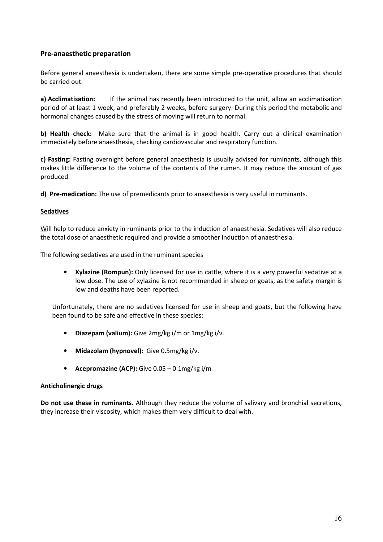# Pre-anaesthetic preparation

Before general anaesthesia is undertaken, there are some simple pre-operative procedures that should be carried out:

a) Acclimatisation: If the animal has recently been introduced to the unit, allow an acclimatisation period of at least 1 week, and preferably 2 weeks, before surgery. During this period the metabolic and hormonal changes caused by the stress of moving will return to normal.

b) Health check: Make sure that the animal is in good health. Carry out a clinical examination immediately before anaesthesia, checking cardiovascular and respiratory function.

c) Fasting: Fasting overnight before general anaesthesia is usually advised for ruminants, although this makes little difference to the volume of the contents of the rumen. It may reduce the amount of gas produced.

d) Pre-medication: The use of premedicants prior to anaesthesia is very useful in ruminants.

#### **Sedatives**

Will help to reduce anxiety in ruminants prior to the induction of anaesthesia. Sedatives will also reduce the total dose of anaesthetic required and provide a smoother induction of anaesthesia.

The following sedatives are used in the ruminant species

• Xylazine (Rompun): Only licensed for use in cattle, where it is a very powerful sedative at a low dose. The use of xylazine is not recommended in sheep or goats, as the safety margin is low and deaths have been reported.

Unfortunately, there are no sedatives licensed for use in sheep and goats, but the following have been found to be safe and effective in these species:

- Diazepam (valium): Give 2mg/kg i/m or 1mg/kg i/v.
- Midazolam (hypnovel): Give 0.5mg/kg i/v.
- Acepromazine (ACP): Give 0.05 0.1mg/kg i/m

#### Anticholinergic drugs

Do not use these in ruminants. Although they reduce the volume of salivary and bronchial secretions, they increase their viscosity, which makes them very difficult to deal with.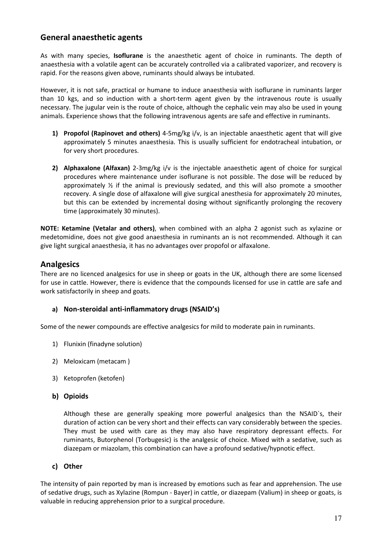# General anaesthetic agents

As with many species, **Isoflurane** is the anaesthetic agent of choice in ruminants. The depth of anaesthesia with a volatile agent can be accurately controlled via a calibrated vaporizer, and recovery is rapid. For the reasons given above, ruminants should always be intubated.

However, it is not safe, practical or humane to induce anaesthesia with isoflurane in ruminants larger than 10 kgs, and so induction with a short-term agent given by the intravenous route is usually necessary. The jugular vein is the route of choice, although the cephalic vein may also be used in young animals. Experience shows that the following intravenous agents are safe and effective in ruminants.

- 1) Propofol (Rapinovet and others) 4-5mg/kg  $i/v$ , is an injectable anaesthetic agent that will give approximately 5 minutes anaesthesia. This is usually sufficient for endotracheal intubation, or for very short procedures.
- 2) Alphaxalone (Alfaxan) 2-3mg/kg i/v is the injectable anaesthetic agent of choice for surgical procedures where maintenance under isoflurane is not possible. The dose will be reduced by approximately  $\frac{1}{2}$  if the animal is previously sedated, and this will also promote a smoother recovery. A single dose of alfaxalone will give surgical anesthesia for approximately 20 minutes, but this can be extended by incremental dosing without significantly prolonging the recovery time (approximately 30 minutes).

NOTE: Ketamine (Vetalar and others), when combined with an alpha 2 agonist such as xylazine or medetomidine, does not give good anaesthesia in ruminants an is not recommended. Although it can give light surgical anaesthesia, it has no advantages over propofol or alfaxalone.

# Analgesics

There are no licenced analgesics for use in sheep or goats in the UK, although there are some licensed for use in cattle. However, there is evidence that the compounds licensed for use in cattle are safe and work satisfactorily in sheep and goats.

# a) Non-steroidal anti-inflammatory drugs (NSAID's)

Some of the newer compounds are effective analgesics for mild to moderate pain in ruminants.

- 1) Flunixin (finadyne solution)
- 2) Meloxicam (metacam )
- 3) Ketoprofen (ketofen)
- b) Opioids

Although these are generally speaking more powerful analgesics than the NSAID`s, their duration of action can be very short and their effects can vary considerably between the species. They must be used with care as they may also have respiratory depressant effects. For ruminants, Butorphenol (Torbugesic) is the analgesic of choice. Mixed with a sedative, such as diazepam or miazolam, this combination can have a profound sedative/hypnotic effect.

## c) Other

The intensity of pain reported by man is increased by emotions such as fear and apprehension. The use of sedative drugs, such as Xylazine (Rompun - Bayer) in cattle, or diazepam (Valium) in sheep or goats, is valuable in reducing apprehension prior to a surgical procedure.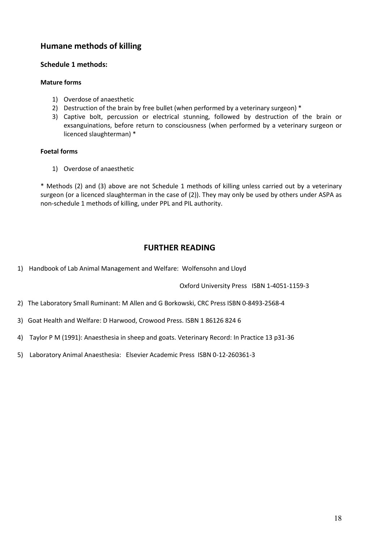# Humane methods of killing

## Schedule 1 methods:

## Mature forms

- 1) Overdose of anaesthetic
- 2) Destruction of the brain by free bullet (when performed by a veterinary surgeon) \*
- 3) Captive bolt, percussion or electrical stunning, followed by destruction of the brain or exsanguinations, before return to consciousness (when performed by a veterinary surgeon or licenced slaughterman) \*

## Foetal forms

1) Overdose of anaesthetic

\* Methods (2) and (3) above are not Schedule 1 methods of killing unless carried out by a veterinary surgeon (or a licenced slaughterman in the case of (2)). They may only be used by others under ASPA as non-schedule 1 methods of killing, under PPL and PIL authority.

# FURTHER READING

1) Handbook of Lab Animal Management and Welfare: Wolfensohn and Lloyd

Oxford University Press ISBN 1-4051-1159-3

- 2) The Laboratory Small Ruminant: M Allen and G Borkowski, CRC Press ISBN 0-8493-2568-4
- 3) Goat Health and Welfare: D Harwood, Crowood Press. ISBN 1 86126 824 6
- 4) Taylor P M (1991): Anaesthesia in sheep and goats. Veterinary Record: In Practice 13 p31-36
- 5) Laboratory Animal Anaesthesia: Elsevier Academic Press ISBN 0-12-260361-3